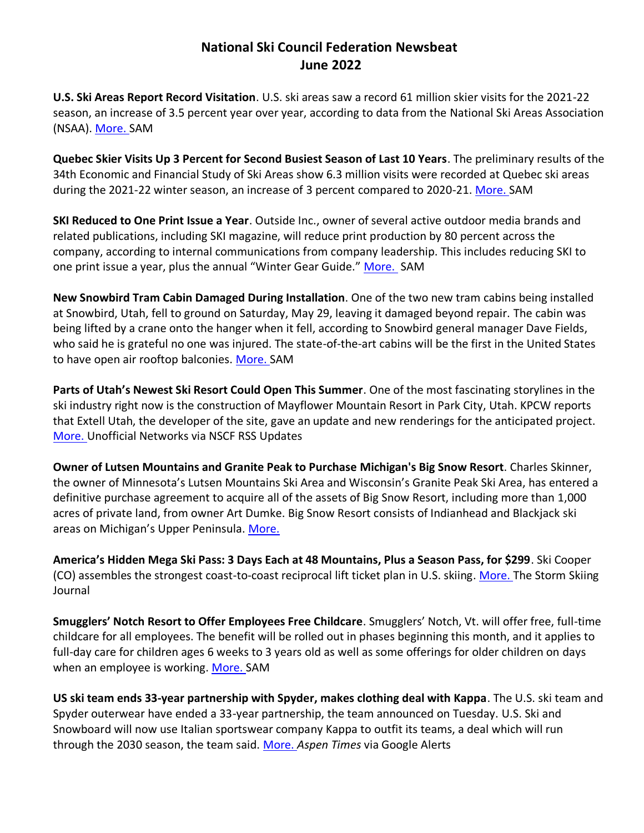## **National Ski Council Federation Newsbeat June 2022**

**U.S. Ski Areas Report Record Visitation**. U.S. ski areas saw a record 61 million skier visits for the 2021-22 season, an increase of 3.5 percent year over year, according to data from the National Ski Areas Association (NSAA). [More. S](https://www.saminfo.com/news/sam-headline-news/10102-u-s-ski-areas-report-record-visitation?utm_source=newsletter&utm_medium=email&utm_campaign=sam_headline_news_us_ski_areas_report_record_visitation_aspen_ski_co_and_alterra_acquire_aspenware_western_lodging_properties_set_winter_records_rate_rise_slows_and_more&utm_term=2022-06-03)AM

**Quebec Skier Visits Up 3 Percent for Second Busiest Season of Last 10 Years**. The preliminary results of the 34th Economic and Financial Study of Ski Areas show 6.3 million visits were recorded at Quebec ski areas during the 2021-22 winter season, an increase of 3 percent compared to 2020-21. [More. S](https://www.saminfo.com/news/sam-headline-news/10114-quebec-skier-visits-up-3-percent-for-second-busiest-season-of-last-10-years?utm_source=newsletter&utm_medium=email&utm_campaign=sam_headline_news_quebec_skier_visits_up_3_percent_for_second_busiest_season_of_last_10_years_and_more&utm_term=2022-06-03)AM

**SKI Reduced to One Print Issue a Year**. Outside Inc., owner of several active outdoor media brands and related publications, including SKI magazine, will reduce print production by 80 percent across the company, according to internal communications from company leadership. This includes reducing SKI to one print issue a year, plus the annual "Winter Gear Guide." [More.](https://www.saminfo.com/news/sam-headline-news/10107-ski-reduced-to-one-print-issue-a-year?utm_source=newsletter&utm_medium=email&utm_campaign=sam_headline_news_skinner_to_buy_michigans_big_snow_resort_smith_to_succeed_gregory_as_alterra_ceo_nsaa_national_convention_recap_ski_reduced_to_one_print_issue_a_year_and_more&utm_term=2022-06-01) SAM

**New Snowbird Tram Cabin Damaged During Installation**. One of the two new tram cabins being installed at Snowbird, Utah, fell to ground on Saturday, May 29, leaving it damaged beyond repair. The cabin was being lifted by a crane onto the hanger when it fell, according to Snowbird general manager Dave Fields, who said he is grateful no one was injured. The state-of-the-art cabins will be the first in the United States to have open air rooftop balconies. [More. S](https://www.saminfo.com/news/sam-headline-news/10111-new-snowbird-tram-cabin-damaged-during-installation?utm_source=newsletter&utm_medium=email&utm_campaign=sam_headline_news_six_resorts_chosen_for_2022_rise_up_challenge_new_snowbird_tram_cabin_damaged_during_installation_and_more&utm_term=2022-06-03)AM

**Parts of Utah's Newest Ski Resort Could Open This Summer**. One of the most fascinating storylines in the ski industry right now is the construction of Mayflower Mountain Resort in Park City, Utah. KPCW reports that Extell Utah, the developer of the site, gave an update and new renderings for the anticipated project. [More. U](https://skifederation.org/parts-of-utahs-newest-ski-resort-could-open-this-summer/)nofficial Networks via NSCF RSS Updates

**Owner of Lutsen Mountains and Granite Peak to Purchase Michigan's Big Snow Resort**. Charles Skinner, the owner of Minnesota's Lutsen Mountains Ski Area and Wisconsin's Granite Peak Ski Area, has entered a definitive purchase agreement to acquire all of the assets of Big Snow Resort, including more than 1,000 acres of private land, from owner Art Dumke. Big Snow Resort consists of Indianhead and Blackjack ski areas on Michigan's Upper Peninsula. [More.](https://www.saminfo.com/news/sam-headline-news/10109-owner-of-lutsen-mountains-and-granite-peak-to-purchase-michigan-s-big-snow-resort?utm_source=newsletter&utm_medium=email&utm_campaign=sam_headline_news_skinner_to_buy_michigans_big_snow_resort_smith_to_succeed_gregory_as_alterra_ceo_nsaa_national_convention_recap_ski_reduced_to_one_print_issue_a_year_and_more&utm_term=2022-06-03) 

**America's Hidden Mega Ski Pass: 3 Days Each at 48 Mountains, Plus a Season Pass, for \$299**. Ski Cooper (CO) assembles the strongest coast-to-coast reciprocal lift ticket plan in U.S. skiing. [More. T](https://www.stormskiing.com/p/americas-hidden-mega-ski-pass-3-days?utm_source=substack&utm_campaign=post_embed&utm_medium=email&s=r)he Storm Skiing Journal

**Smugglers' Notch Resort to Offer Employees Free Childcare**. Smugglers' Notch, Vt. will offer free, full-time childcare for all employees. The benefit will be rolled out in phases beginning this month, and it applies to full-day care for children ages 6 weeks to 3 years old as well as some offerings for older children on days when an employee is working. [More. S](https://www.saminfo.com/news/sam-headline-news/10096-smugglers-notch-resort-to-offer-employees-free-childcare?utm_source=newsletter&utm_medium=email&utm_campaign=sam_headline_news_smugglers_notch_to_offer_employees_free_childcare_and_more&utm_term=2022-06-03)AM

**US ski team ends 33-year partnership with Spyder, makes clothing deal with Kappa**. The U.S. ski team and Spyder outerwear have ended a 33-year partnership, the team announced on Tuesday. U.S. Ski and Snowboard will now use Italian sportswear company Kappa to outfit its teams, a deal which will run through the 2030 season, the team said. [More.](https://www.aspentimes.com/sports/us-ski-team-spyder-end-33-year-partnership-make-deal-with-kappa/) *Aspen Times* via Google Alerts